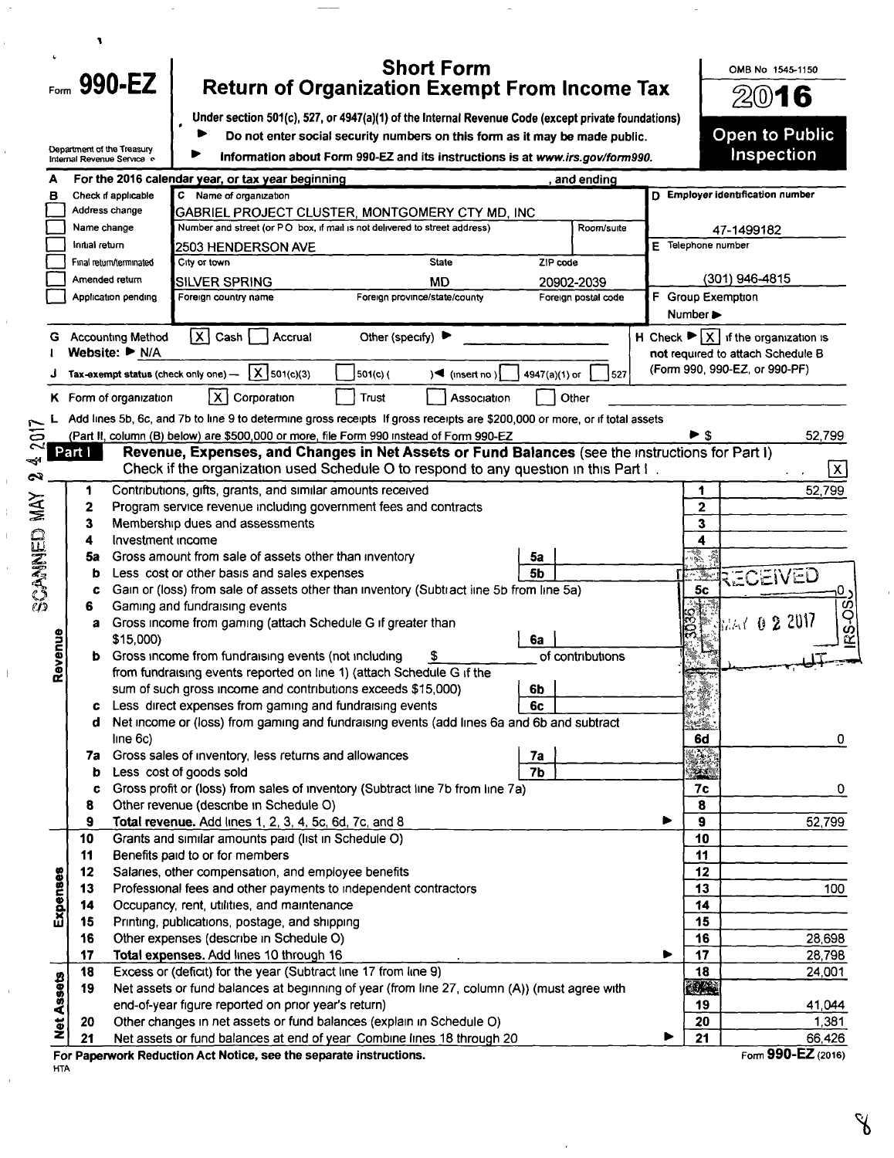|            |                | Form 990-EZ                |                                                                             | <b>Short Form</b><br><b>Return of Organization Exempt From Income Tax</b>                                                                                                         |               |                     |                              | OMB No 1545-1150                                                     |
|------------|----------------|----------------------------|-----------------------------------------------------------------------------|-----------------------------------------------------------------------------------------------------------------------------------------------------------------------------------|---------------|---------------------|------------------------------|----------------------------------------------------------------------|
|            |                |                            |                                                                             | 2016                                                                                                                                                                              |               |                     |                              |                                                                      |
|            |                |                            |                                                                             | Under section 501(c), 527, or 4947(a)(1) of the Internal Revenue Code (except private foundations)<br>Do not enter social security numbers on this form as it may be made public. |               |                     |                              | <b>Open to Public</b>                                                |
|            |                | Department of the Treasury |                                                                             |                                                                                                                                                                                   |               |                     |                              | Inspection                                                           |
|            |                | Internal Revenue Service e |                                                                             | Information about Form 990-EZ and its instructions is at www.irs.gov/form990.                                                                                                     |               |                     |                              |                                                                      |
| в          |                | Check if applicable        | For the 2016 calendar year, or tax year beginning<br>C Name of organization |                                                                                                                                                                                   |               | and ending          |                              | D Employer identification number                                     |
|            | Address change |                            |                                                                             | GABRIEL PROJECT CLUSTER, MONTGOMERY CTY MD, INC                                                                                                                                   |               |                     |                              |                                                                      |
|            | Name change    |                            |                                                                             | Number and street (or PO box, if mail is not delivered to street address)                                                                                                         |               | Room/suite          |                              | 47-1499182                                                           |
|            | iniual return  |                            | <b>2503 HENDERSON AVE</b>                                                   |                                                                                                                                                                                   |               |                     | E Telephone number           |                                                                      |
|            |                | Final return/terminated    | City or town                                                                | <b>State</b>                                                                                                                                                                      | ZIP code      |                     |                              |                                                                      |
|            | Amended return |                            | <b>SILVER SPRING</b>                                                        | <b>MD</b>                                                                                                                                                                         |               | 20902-2039          |                              | (301) 946-4815                                                       |
|            |                | Application pending        | Foreign country name                                                        | Foreign province/state/county                                                                                                                                                     |               | Foreign postal code | F Group Exemption            |                                                                      |
|            |                |                            |                                                                             |                                                                                                                                                                                   |               |                     | Number $\blacktriangleright$ |                                                                      |
|            |                | <b>Accounting Method</b>   | $\overline{X}$ Cash<br>Accrual                                              | Other (specify) ▶                                                                                                                                                                 |               |                     |                              | H Check $\blacktriangleright \lceil x \rceil$ if the organization is |
|            |                | Website: ▶ N/A             |                                                                             |                                                                                                                                                                                   |               |                     |                              | not required to attach Schedule B                                    |
|            |                |                            | $X$ 501(c)(3)<br>Tax-exempt status (check only one) -                       | $501(c)$ (<br>$\left\{ \bullet \right\}$ (insert no )                                                                                                                             | 4947(a)(1) or | 527                 |                              | (Form 990, 990-EZ, or 990-PF)                                        |
|            |                | K Form of organization     | l X I<br>Corporation                                                        | <b>Trust</b><br>Association                                                                                                                                                       |               | Other               |                              |                                                                      |
|            |                |                            |                                                                             | Add lines 5b, 6c, and 7b to line 9 to determine gross receipts If gross receipts are \$200,000 or more, or if total assets                                                        |               |                     |                              |                                                                      |
|            |                |                            |                                                                             | (Part II, column (B) below) are \$500,000 or more, file Form 990 instead of Form 990-EZ                                                                                           |               |                     | $\blacktriangleright$ S      | 52,799                                                               |
|            | Part I         |                            |                                                                             | Revenue, Expenses, and Changes in Net Assets or Fund Balances (see the instructions for Part I)                                                                                   |               |                     |                              |                                                                      |
|            |                |                            |                                                                             | Check if the organization used Schedule O to respond to any question in this Part I.                                                                                              |               |                     |                              | ΙX.                                                                  |
|            | 1              |                            | Contributions, gifts, grants, and similar amounts received                  |                                                                                                                                                                                   |               |                     | 1                            | 52,799                                                               |
|            | $\mathbf{2}$   |                            |                                                                             | Program service revenue including government fees and contracts                                                                                                                   |               |                     | $\mathbf{2}$                 |                                                                      |
|            | 3              |                            | Membership dues and assessments                                             |                                                                                                                                                                                   |               |                     | 3                            |                                                                      |
|            | 4              | Investment income          |                                                                             |                                                                                                                                                                                   |               |                     | 4                            |                                                                      |
|            | 5a             |                            | Gross amount from sale of assets other than inventory                       |                                                                                                                                                                                   | 5a            |                     |                              |                                                                      |
|            | b              |                            | Less cost or other basis and sales expenses                                 |                                                                                                                                                                                   | 5b            |                     |                              | RECEIVED                                                             |
|            | c              |                            |                                                                             | Gain or (loss) from sale of assets other than inventory (Subtract line 5b from line 5a)                                                                                           |               |                     | 5c                           | o                                                                    |
|            | 6              |                            | Gaming and fundraising events                                               |                                                                                                                                                                                   |               |                     |                              |                                                                      |
|            | a              |                            | Gross income from gaming (attach Schedule G if greater than                 |                                                                                                                                                                                   |               |                     | සි                           | $\frac{1}{2}$ and $\frac{1}{2}$ 0 2017                               |
| Revenue    |                | \$15,000)                  |                                                                             |                                                                                                                                                                                   | 6a            |                     |                              |                                                                      |
|            |                |                            | Gross income from fundraising events (not including                         |                                                                                                                                                                                   |               | of contributions    |                              |                                                                      |
|            |                |                            |                                                                             | from fundraising events reported on line 1) (attach Schedule G if the                                                                                                             |               |                     |                              |                                                                      |
|            |                |                            | sum of such gross income and contributions exceeds \$15,000)                |                                                                                                                                                                                   | 6b            |                     |                              |                                                                      |
|            | c              |                            | Less direct expenses from gaming and fundraising events                     |                                                                                                                                                                                   | 6с            |                     |                              |                                                                      |
|            | d              | line 6c)                   |                                                                             | Net income or (loss) from gaming and fundraising events (add lines 6a and 6b and subtract                                                                                         |               |                     | 6d                           |                                                                      |
|            | 7а             |                            | Gross sales of inventory, less returns and allowances                       |                                                                                                                                                                                   | 7a            |                     | S.                           | 0                                                                    |
|            |                |                            | Less cost of goods sold                                                     |                                                                                                                                                                                   | 7b            |                     | ١.                           |                                                                      |
|            |                |                            |                                                                             | Gross profit or (loss) from sales of inventory (Subtract line 7b from line 7a)                                                                                                    |               |                     | 7с                           | 0                                                                    |
|            | b<br>c         |                            |                                                                             |                                                                                                                                                                                   |               |                     |                              |                                                                      |
|            | 8              |                            | Other revenue (describe in Schedule O)                                      |                                                                                                                                                                                   |               |                     | 8                            |                                                                      |
|            | 9              |                            | Total revenue. Add lines 1, 2, 3, 4, 5c, 6d, 7c, and 8                      |                                                                                                                                                                                   |               |                     | 9                            |                                                                      |
|            | 10             |                            | Grants and similar amounts paid (list in Schedule O)                        |                                                                                                                                                                                   |               |                     | 10                           |                                                                      |
|            | 11             |                            | Benefits paid to or for members                                             |                                                                                                                                                                                   |               |                     | 11                           |                                                                      |
|            | 12             |                            | Salaries, other compensation, and employee benefits                         |                                                                                                                                                                                   |               |                     | 12                           |                                                                      |
|            | 13             |                            | Professional fees and other payments to independent contractors             |                                                                                                                                                                                   |               |                     | 13                           |                                                                      |
|            | 14             |                            | Occupancy, rent, utilities, and maintenance                                 |                                                                                                                                                                                   |               |                     | 14                           |                                                                      |
|            | 15             |                            | Printing, publications, postage, and shipping                               |                                                                                                                                                                                   |               |                     | 15                           |                                                                      |
|            | 16             |                            | Other expenses (describe in Schedule O)                                     |                                                                                                                                                                                   |               |                     | 16                           |                                                                      |
|            | 17             |                            | Total expenses. Add lines 10 through 16                                     |                                                                                                                                                                                   |               |                     | 17<br>⋗                      |                                                                      |
|            | 18             |                            | Excess or (deficit) for the year (Subtract line 17 from line 9)             |                                                                                                                                                                                   |               |                     | 18                           |                                                                      |
| Expenses   | 19             |                            |                                                                             | Net assets or fund balances at beginning of year (from line 27, column (A)) (must agree with                                                                                      |               |                     | 愛慕                           | 52,799<br>100<br>28,698<br>28,798<br>24,001                          |
| Net Assets | 20             |                            | end-of-year figure reported on prior year's return)                         | Other changes in net assets or fund balances (explain in Schedule O)                                                                                                              |               |                     | 19<br>20                     | 41,044<br>1,381                                                      |

 $\hat{\mathcal{L}}$ 

 $\frac{1}{\sqrt{2}}$ 

ł,

 $\frac{1}{\sqrt{2}}$ 

 $\frac{1}{2}$ 

 $\frac{1}{\sqrt{2}}$ 

 $\frac{1}{2}$ 

 $\hat{\boldsymbol{\theta}}$ 

 $\frac{1}{\sqrt{2}}$ 

 $\overline{\phantom{a}}$ 

 $\mathscr{S}$ 

 $\frac{1}{\sqrt{2}}$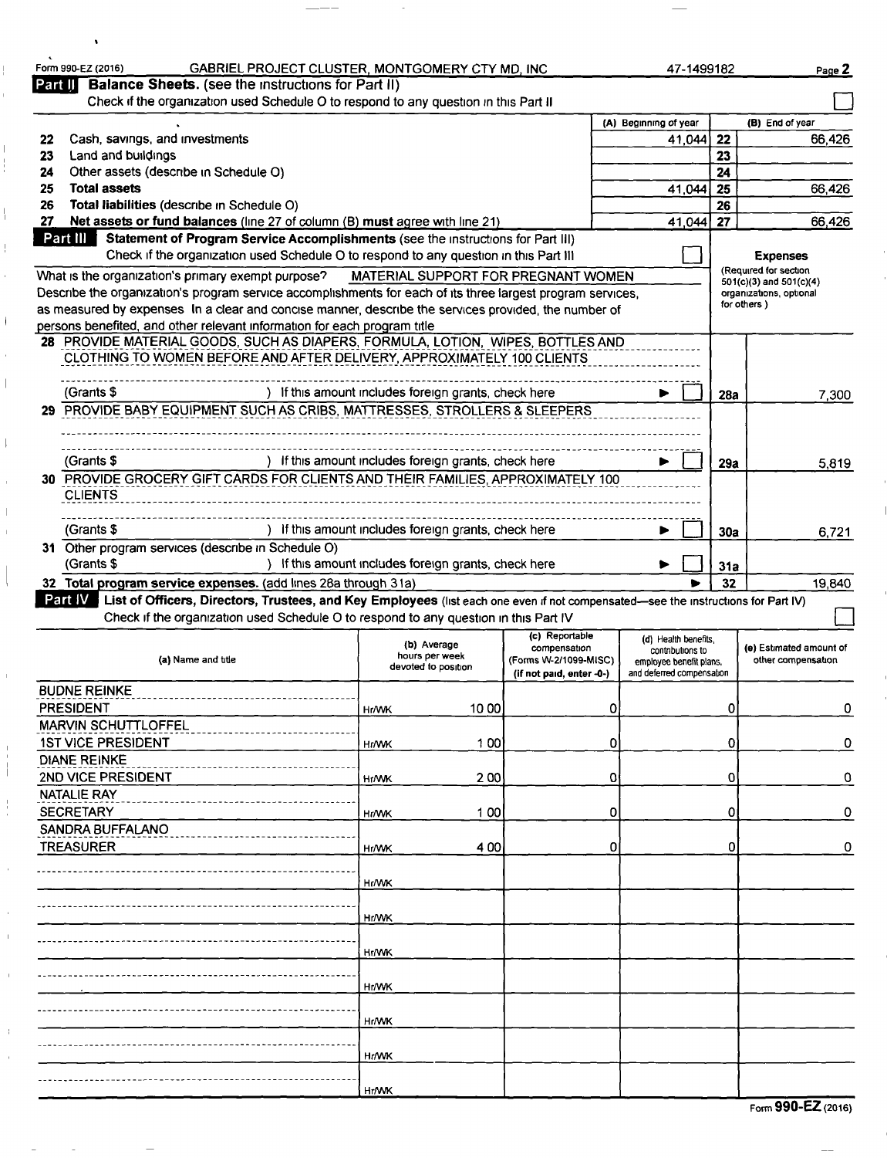|         | Form 990-EZ (2016)<br>GABRIEL PROJECT CLUSTER, MONTGOMERY CTY MD, INC                                                                                                                                                                |                                                      |                                                                                     | 47-1499182                                                                                       |     | Page 2                                             |  |  |  |  |  |
|---------|--------------------------------------------------------------------------------------------------------------------------------------------------------------------------------------------------------------------------------------|------------------------------------------------------|-------------------------------------------------------------------------------------|--------------------------------------------------------------------------------------------------|-----|----------------------------------------------------|--|--|--|--|--|
| Part II | Balance Sheets. (see the instructions for Part II)<br>Check if the organization used Schedule O to respond to any question in this Part II                                                                                           |                                                      |                                                                                     |                                                                                                  |     |                                                    |  |  |  |  |  |
|         |                                                                                                                                                                                                                                      |                                                      |                                                                                     | (A) Beginning of year                                                                            |     | (B) End of year                                    |  |  |  |  |  |
| 22      | Cash, savings, and investments                                                                                                                                                                                                       |                                                      |                                                                                     | 41.044                                                                                           | 22  | 66.426                                             |  |  |  |  |  |
| 23      | Land and buildings                                                                                                                                                                                                                   |                                                      |                                                                                     |                                                                                                  | 23  |                                                    |  |  |  |  |  |
| 24      | Other assets (describe in Schedule O)                                                                                                                                                                                                |                                                      |                                                                                     |                                                                                                  | 24  | 66,426                                             |  |  |  |  |  |
| 25      | <b>Total assets</b><br>25<br>41,044                                                                                                                                                                                                  |                                                      |                                                                                     |                                                                                                  |     |                                                    |  |  |  |  |  |
| 26      | Total liabilities (describe in Schedule O)<br>26<br>27<br>Net assets or fund balances (line 27 of column (B) must agree with line 21)<br>41,044                                                                                      |                                                      |                                                                                     |                                                                                                  |     |                                                    |  |  |  |  |  |
|         | Part III<br>Statement of Program Service Accomplishments (see the instructions for Part III)                                                                                                                                         |                                                      |                                                                                     |                                                                                                  | 27  | 66,426                                             |  |  |  |  |  |
|         | Check if the organization used Schedule O to respond to any question in this Part III                                                                                                                                                |                                                      |                                                                                     |                                                                                                  |     | <b>Expenses</b>                                    |  |  |  |  |  |
|         | What is the organization's primary exempt purpose?                                                                                                                                                                                   | MATERIAL SUPPORT FOR PREGNANT WOMEN                  |                                                                                     |                                                                                                  |     | (Required for section                              |  |  |  |  |  |
|         | Describe the organization's program service accomplishments for each of its three largest program services,                                                                                                                          |                                                      |                                                                                     |                                                                                                  |     | 501(c)(3) and 501(c)(4)<br>organizations, optional |  |  |  |  |  |
|         | as measured by expenses In a clear and concise manner, describe the services provided, the number of                                                                                                                                 |                                                      |                                                                                     |                                                                                                  |     | for others)                                        |  |  |  |  |  |
|         | persons benefited, and other relevant information for each program title                                                                                                                                                             |                                                      |                                                                                     |                                                                                                  |     |                                                    |  |  |  |  |  |
|         | 28 PROVIDE MATERIAL GOODS, SUCH AS DIAPERS, FORMULA, LOTION, WIPES, BOTTLES AND                                                                                                                                                      |                                                      |                                                                                     |                                                                                                  |     |                                                    |  |  |  |  |  |
|         | CLOTHING TO WOMEN BEFORE AND AFTER DELIVERY, APPROXIMATELY 100 CLIENTS                                                                                                                                                               |                                                      |                                                                                     |                                                                                                  |     |                                                    |  |  |  |  |  |
|         |                                                                                                                                                                                                                                      |                                                      |                                                                                     |                                                                                                  |     |                                                    |  |  |  |  |  |
|         | (Grants \$                                                                                                                                                                                                                           | ) If this amount includes foreign grants, check here |                                                                                     |                                                                                                  | 28а | 7.300                                              |  |  |  |  |  |
|         | 29 PROVIDE BABY EQUIPMENT SUCH AS CRIBS, MATTRESSES, STROLLERS & SLEEPERS                                                                                                                                                            |                                                      |                                                                                     |                                                                                                  |     |                                                    |  |  |  |  |  |
|         |                                                                                                                                                                                                                                      |                                                      |                                                                                     |                                                                                                  |     |                                                    |  |  |  |  |  |
|         | (Grants \$                                                                                                                                                                                                                           | If this amount includes foreign grants, check here   |                                                                                     |                                                                                                  | 29а | 5,819                                              |  |  |  |  |  |
|         | 30 PROVIDE GROCERY GIFT CARDS FOR CLIENTS AND THEIR FAMILIES, APPROXIMATELY 100                                                                                                                                                      |                                                      |                                                                                     |                                                                                                  |     |                                                    |  |  |  |  |  |
|         | <b>CLIENTS</b>                                                                                                                                                                                                                       |                                                      |                                                                                     |                                                                                                  |     |                                                    |  |  |  |  |  |
|         |                                                                                                                                                                                                                                      |                                                      |                                                                                     |                                                                                                  |     |                                                    |  |  |  |  |  |
|         | (Grants \$                                                                                                                                                                                                                           | If this amount includes foreign grants, check here   |                                                                                     |                                                                                                  | 30a | 6,721                                              |  |  |  |  |  |
|         | 31 Other program services (describe in Schedule O)                                                                                                                                                                                   |                                                      |                                                                                     |                                                                                                  |     |                                                    |  |  |  |  |  |
|         | (Grants \$                                                                                                                                                                                                                           |                                                      |                                                                                     | ) If this amount includes foreign grants, check here                                             |     |                                                    |  |  |  |  |  |
|         |                                                                                                                                                                                                                                      |                                                      | 31а                                                                                 |                                                                                                  |     |                                                    |  |  |  |  |  |
|         | 32 Total program service expenses. (add lines 28a through 31a)                                                                                                                                                                       |                                                      |                                                                                     |                                                                                                  | 32  | 19,840                                             |  |  |  |  |  |
|         | Part IV<br>List of Officers, Directors, Trustees, and Key Employees (list each one even if not compensated—see the instructions for Part IV)<br>Check if the organization used Schedule O to respond to any question in this Part IV |                                                      |                                                                                     |                                                                                                  |     |                                                    |  |  |  |  |  |
|         | (a) Name and title                                                                                                                                                                                                                   | (b) Average<br>hours per week<br>devoted to position | (c) Reportable<br>compensation<br>(Forms W-2/1099-MISC)<br>(if not paid, enter -0-) | (d) Health benefits,<br>contributions to<br>employee benefit plans,<br>and deferred compensation |     | (e) Estimated amount of<br>other compensation      |  |  |  |  |  |
|         | <b>BUDNE REINKE</b>                                                                                                                                                                                                                  |                                                      |                                                                                     |                                                                                                  |     |                                                    |  |  |  |  |  |
|         | <b>PRESIDENT</b>                                                                                                                                                                                                                     | 10 00<br>Hr/WK                                       | 0                                                                                   |                                                                                                  | 0   | 0                                                  |  |  |  |  |  |
|         | <b>MARVIN SCHUTTLOFFEL</b>                                                                                                                                                                                                           |                                                      |                                                                                     |                                                                                                  |     |                                                    |  |  |  |  |  |
|         | <b>1ST VICE PRESIDENT</b>                                                                                                                                                                                                            | 100<br><b>HIWK</b>                                   | 0                                                                                   |                                                                                                  | 0   | 0                                                  |  |  |  |  |  |
|         | <b>DIANE REINKE</b>                                                                                                                                                                                                                  |                                                      |                                                                                     |                                                                                                  |     |                                                    |  |  |  |  |  |
|         | 2ND VICE PRESIDENT                                                                                                                                                                                                                   | 2 0 0<br><b>HI/WK</b>                                | 0                                                                                   |                                                                                                  | 0   | 0                                                  |  |  |  |  |  |
|         | <b>NATALIE RAY</b>                                                                                                                                                                                                                   |                                                      |                                                                                     |                                                                                                  |     |                                                    |  |  |  |  |  |
|         | <b>SECRETARY</b>                                                                                                                                                                                                                     | 100<br><b>Hr/WK</b>                                  | 0                                                                                   |                                                                                                  | 0   | 0                                                  |  |  |  |  |  |
|         | SANDRA BUFFALANO                                                                                                                                                                                                                     |                                                      |                                                                                     |                                                                                                  |     |                                                    |  |  |  |  |  |
|         | <b>TREASURER</b>                                                                                                                                                                                                                     | 400<br><b>Hr/WK</b>                                  | 0                                                                                   |                                                                                                  | 0   | 0                                                  |  |  |  |  |  |
|         |                                                                                                                                                                                                                                      |                                                      |                                                                                     |                                                                                                  |     |                                                    |  |  |  |  |  |
|         |                                                                                                                                                                                                                                      | Hr/WK                                                |                                                                                     |                                                                                                  |     |                                                    |  |  |  |  |  |
|         |                                                                                                                                                                                                                                      |                                                      |                                                                                     |                                                                                                  |     |                                                    |  |  |  |  |  |
|         |                                                                                                                                                                                                                                      | Hr/WK                                                |                                                                                     |                                                                                                  |     |                                                    |  |  |  |  |  |
|         |                                                                                                                                                                                                                                      | <b>Hr/WK</b>                                         |                                                                                     |                                                                                                  |     |                                                    |  |  |  |  |  |
|         |                                                                                                                                                                                                                                      |                                                      |                                                                                     |                                                                                                  |     |                                                    |  |  |  |  |  |
|         |                                                                                                                                                                                                                                      | <b>Hr/WK</b>                                         |                                                                                     |                                                                                                  |     |                                                    |  |  |  |  |  |
|         |                                                                                                                                                                                                                                      |                                                      |                                                                                     |                                                                                                  |     |                                                    |  |  |  |  |  |
|         |                                                                                                                                                                                                                                      | <b>Hr/WK</b>                                         |                                                                                     |                                                                                                  |     |                                                    |  |  |  |  |  |
|         |                                                                                                                                                                                                                                      |                                                      |                                                                                     |                                                                                                  |     |                                                    |  |  |  |  |  |
|         |                                                                                                                                                                                                                                      | <b>Hr/WK</b>                                         |                                                                                     |                                                                                                  |     |                                                    |  |  |  |  |  |
|         |                                                                                                                                                                                                                                      | <b>Hr/WK</b>                                         |                                                                                     |                                                                                                  |     |                                                    |  |  |  |  |  |

|  |  |  | Form 990-EZ (2016) |
|--|--|--|--------------------|
|--|--|--|--------------------|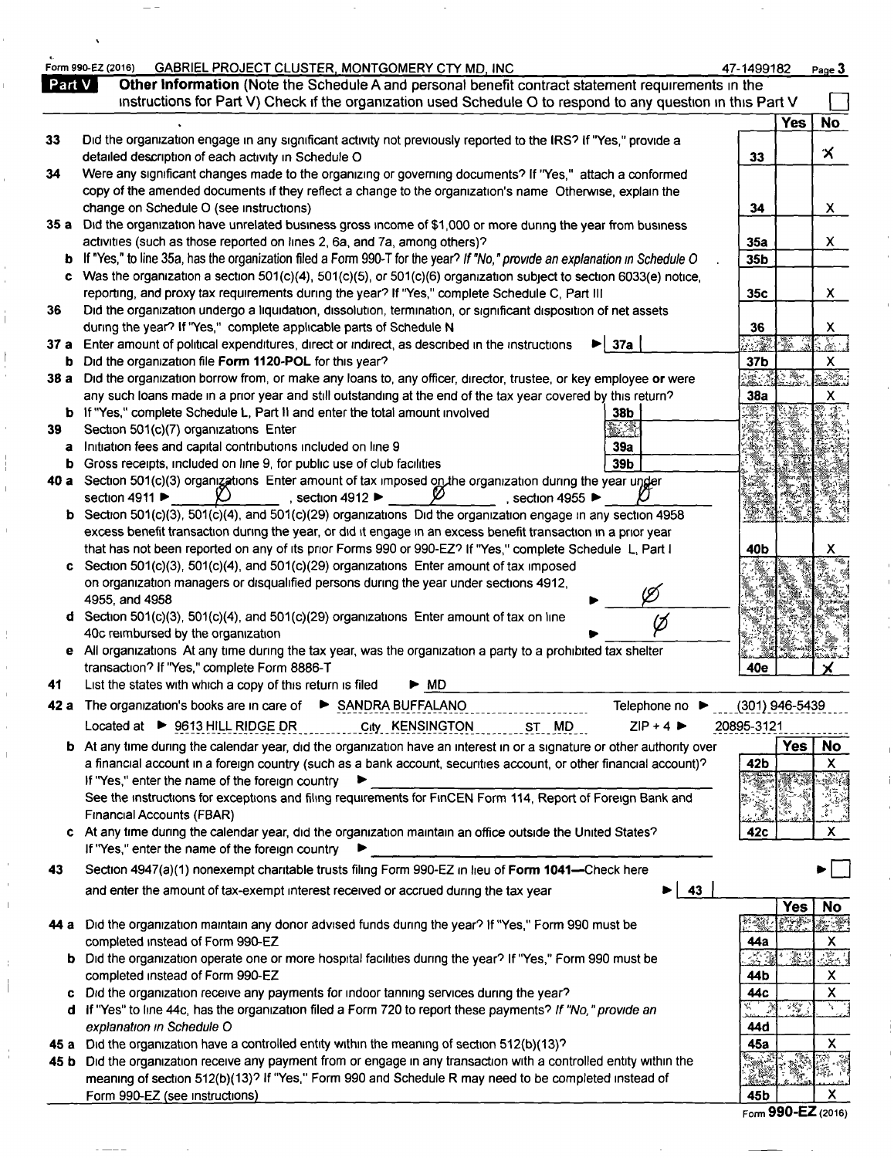|        | Form 990-EZ (2016)<br>GABRIEL PROJECT CLUSTER, MONTGOMERY CTY MD, INC.                                                                                                                                             | 47-1499182            |                | Page 3                            |
|--------|--------------------------------------------------------------------------------------------------------------------------------------------------------------------------------------------------------------------|-----------------------|----------------|-----------------------------------|
| Part V | Other Information (Note the Schedule A and personal benefit contract statement requirements in the<br>instructions for Part V) Check if the organization used Schedule O to respond to any question in this Part V |                       |                |                                   |
|        |                                                                                                                                                                                                                    |                       | <b>Yes</b>     | <b>No</b>                         |
| 33     | Did the organization engage in any significant activity not previously reported to the IRS? If "Yes," provide a<br>detailed description of each activity in Schedule O                                             | 33                    |                | Х                                 |
| 34     | Were any significant changes made to the organizing or governing documents? If "Yes," attach a conformed                                                                                                           |                       |                |                                   |
|        | copy of the amended documents if they reflect a change to the organization's name Otherwise, explain the                                                                                                           |                       |                |                                   |
|        | change on Schedule O (see instructions)                                                                                                                                                                            | 34                    |                | $\mathsf{x}$                      |
| 35 a   | Did the organization have unrelated business gross income of \$1,000 or more during the year from business<br>activities (such as those reported on lines 2, 6a, and 7a, among others)?                            | 35a                   |                | X                                 |
|        | <b>b</b> If "Yes," to line 35a, has the organization filed a Form 990-T for the year? If "No," provide an explanation in Schedule O                                                                                | 35b                   |                |                                   |
|        | c Was the organization a section $501(c)(4)$ , $501(c)(5)$ , or $501(c)(6)$ organization subject to section 6033(e) notice,                                                                                        |                       |                |                                   |
|        | reporting, and proxy tax requirements during the year? If "Yes," complete Schedule C, Part III                                                                                                                     | 35 <sub>c</sub>       |                | X.                                |
| 36     | Did the organization undergo a liquidation, dissolution, termination, or significant disposition of net assets                                                                                                     |                       |                |                                   |
|        | during the year? If "Yes," complete applicable parts of Schedule N                                                                                                                                                 | 36                    |                | X                                 |
| 37 a   | 37a<br>Enter amount of political expenditures, direct or indirect, as described in the instructions                                                                                                                |                       |                | $\mathbb{R}$                      |
| b      | Did the organization file Form 1120-POL for this year?<br>38 a Did the organization borrow from, or make any loans to, any officer, director, trustee, or key employee or were                                     | 37b<br>靈              | r Ber          | x<br>J.                           |
|        | any such loans made in a prior year and still outstanding at the end of the tax year covered by this return?                                                                                                       | 38a                   |                | х                                 |
|        | <b>b</b> If "Yes," complete Schedule L, Part II and enter the total amount involved<br>38b                                                                                                                         |                       |                | 4                                 |
| 39     | Section 501(c)(7) organizations Enter                                                                                                                                                                              |                       |                |                                   |
| a      | Initiation fees and capital contributions included on line 9<br>39a                                                                                                                                                |                       |                |                                   |
| b      | Gross receipts, included on line 9, for public use of club facilities<br>39 <sub>b</sub>                                                                                                                           |                       |                |                                   |
|        | 40 a Section 501(c)(3) organizations Enter amount of tax imposed on the organization during the year ungler<br>section 4911 ▶<br>. section 4912 $\blacktriangleright$<br>, section 4955 $\blacktriangleright$      |                       |                |                                   |
| b      | Section 501(c)(3), 501(c)(4), and 501(c)(29) organizations Did the organization engage in any section 4958                                                                                                         |                       |                |                                   |
|        | excess benefit transaction during the year, or did it engage in an excess benefit transaction in a prior year                                                                                                      |                       |                |                                   |
|        | that has not been reported on any of its prior Forms 990 or 990-EZ? If "Yes," complete Schedule L, Part I                                                                                                          | 40b                   |                |                                   |
| C.     | Section 501(c)(3), 501(c)(4), and 501(c)(29) organizations Enter amount of tax imposed                                                                                                                             |                       |                |                                   |
|        | on organization managers or disqualified persons during the year under sections 4912,                                                                                                                              |                       |                |                                   |
|        | 4955, and 4958<br>d Section 501(c)(3), 501(c)(4), and 501(c)(29) organizations Enter amount of tax on line                                                                                                         |                       |                |                                   |
|        | 40c reimbursed by the organization                                                                                                                                                                                 |                       |                |                                   |
|        | e All organizations At any time during the tax year, was the organization a party to a prohibited tax shelter                                                                                                      |                       |                |                                   |
|        | transaction? If "Yes," complete Form 8886-T                                                                                                                                                                        | 40e                   |                |                                   |
| 41     | List the states with which a copy of this return is filed<br>► MD                                                                                                                                                  |                       |                |                                   |
|        | 42 a The organization's books are in care of $\triangleright$ SANDRA BUFFALANO<br>Telephone no $\blacktriangleright$                                                                                               | $(301)$ 946-5439      |                |                                   |
|        | $ZIP + 4$<br>Located at ▶ 9613 HILL RIDGE DR<br>City KENSINGTON<br>ST MD                                                                                                                                           | 20895-3121            |                |                                   |
|        | <b>b</b> At any time during the calendar year, did the organization have an interest in or a signature or other authority over                                                                                     |                       | <b>Yes</b>     | No                                |
|        | a financial account in a foreign country (such as a bank account, securities account, or other financial account)?                                                                                                 | 42b                   |                | X                                 |
|        | If "Yes," enter the name of the foreign country<br>See the instructions for exceptions and filing requirements for FinCEN Form 114, Report of Foreign Bank and                                                     |                       |                |                                   |
|        | Financial Accounts (FBAR)                                                                                                                                                                                          | i<br>Ber              |                | $\sum_{k=1}^{\infty} \frac{1}{k}$ |
| c      | At any time during the calendar year, did the organization maintain an office outside the United States?                                                                                                           | 42c                   |                | $\boldsymbol{\mathsf{X}}$         |
|        | If "Yes," enter the name of the foreign country                                                                                                                                                                    |                       |                |                                   |
| 43     | Section 4947(a)(1) nonexempt charitable trusts filing Form 990-EZ in lieu of Form 1041-Check here                                                                                                                  |                       |                |                                   |
|        | 43<br>and enter the amount of tax-exempt interest received or accrued during the tax year                                                                                                                          |                       |                |                                   |
|        |                                                                                                                                                                                                                    |                       | <b>Yes</b>     | <b>No</b>                         |
|        | 44 a Did the organization maintain any donor advised funds during the year? If "Yes," Form 990 must be                                                                                                             | $\mathcal{N}$         |                | je i                              |
|        | completed instead of Form 990-EZ                                                                                                                                                                                   | 44a<br>$\mathbb{R}^2$ | $\mathbb{Z}^3$ | X<br>331                          |
| b      | Did the organization operate one or more hospital facilities during the year? If "Yes," Form 990 must be<br>completed instead of Form 990-EZ                                                                       | 44 b                  |                | X                                 |
| c      | Did the organization receive any payments for indoor tanning services during the year?                                                                                                                             | 44c                   |                | $\pmb{\times}$                    |
| d      | If "Yes" to line 44c, has the organization filed a Form 720 to report these payments? If "No," provide an                                                                                                          | Ķ.<br>- 29            | $\frac{1}{2}$  | $\sqrt{1}$                        |
|        | explanation in Schedule O                                                                                                                                                                                          | 44d                   |                |                                   |
| 45 a   | Did the organization have a controlled entity within the meaning of section 512(b)(13)?                                                                                                                            | 45a                   |                | X                                 |
| 45 b   | Did the organization receive any payment from or engage in any transaction with a controlled entity within the                                                                                                     | 1                     | Ķ              | $\mathbb{R}^2$<br>癬               |
|        | meaning of section 512(b)(13)? If "Yes," Form 990 and Schedule R may need to be completed instead of                                                                                                               |                       |                |                                   |
|        | Form 990-EZ (see instructions)                                                                                                                                                                                     | 45b                   |                | X                                 |

 $\frac{1}{2}$ 

 $\ddot{\phantom{0}}$ 

 $\hat{\mathbf{r}}$ 

 $\frac{1}{2}$ 

 $\mathbf{\mathbf{I}}$ 

 $\frac{1}{1}$ 

 $\frac{1}{4}$ 

 $\overline{1}$ 

 $\bar{\rm I}$ 

 $\overline{\phantom{a}}$ 

 $\frac{1}{4}$ 

i.

 $\frac{45b}{50m}$  990-EZ (2016)

÷.

 $\bar{1}$ 

 $\alpha$ 

 $\mathbb{F}$  $\mathbf{I}$ 

 $\mathbb T$ 

 $\mathring{\mathring{\mathcal{I}}}$ 

Ť

 $\bar{1}$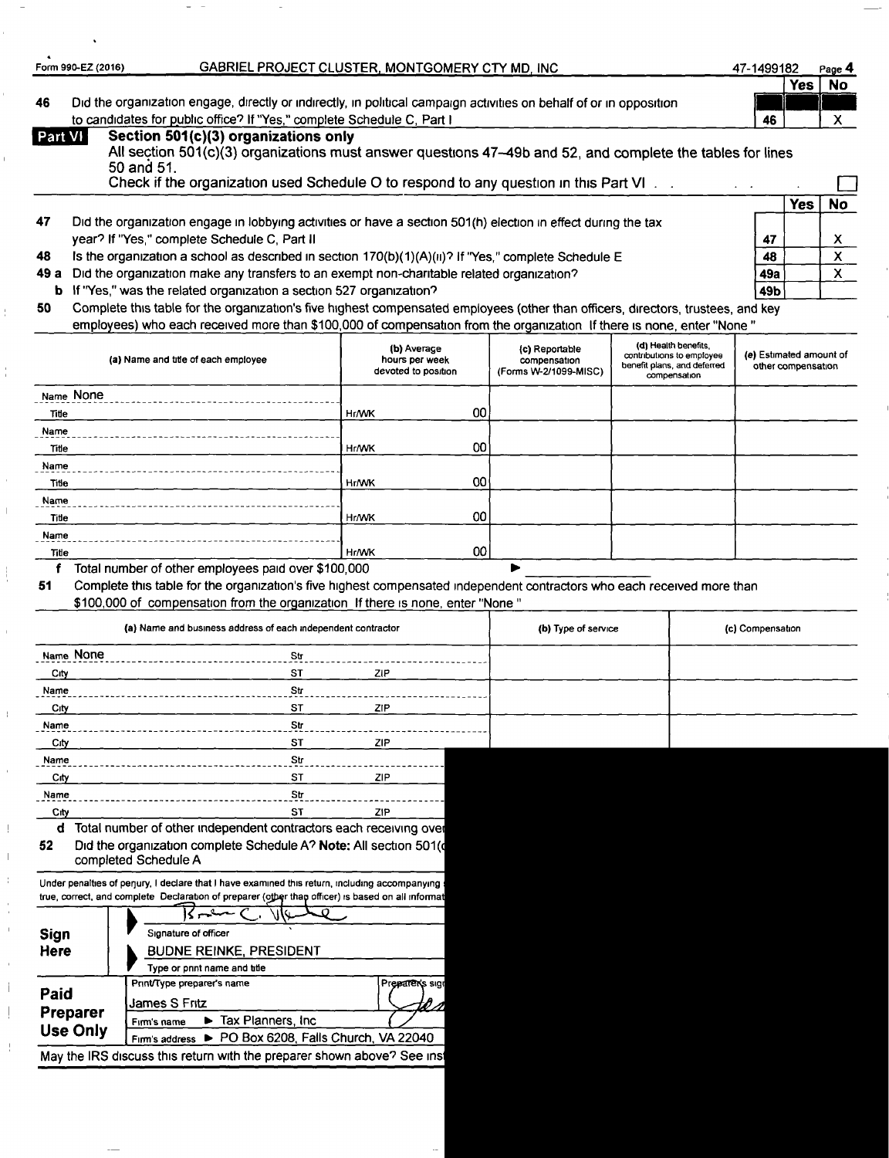| Form 990-EZ (2016) |            | GABRIEL PROJECT CLUSTER, MONTGOMERY CTY MD, INC                                                                                                    | 47-1499182 |     | Page 4 |
|--------------------|------------|----------------------------------------------------------------------------------------------------------------------------------------------------|------------|-----|--------|
|                    |            |                                                                                                                                                    |            | Yes | No     |
| 46                 |            | Did the organization engage, directly or indirectly, in political campaign activities on behalf of or in opposition                                |            |     |        |
|                    |            | to candidates for public office? If "Yes," complete Schedule C, Part I                                                                             | 46         |     |        |
| Part VI            | 50 and 51. | Section 501(c)(3) organizations only<br>All section 501(c)(3) organizations must answer questions 47-49b and 52, and complete the tables for lines |            |     |        |

|    | ou and on.<br>Check if the organization used Schedule O to respond to any question in this Part VI.           |     |     |    |
|----|---------------------------------------------------------------------------------------------------------------|-----|-----|----|
|    |                                                                                                               |     | res | No |
| 47 | Did the organization engage in lobbying activities or have a section 501(h) election in effect during the tax |     |     |    |
|    | year? If "Yes," complete Schedule C, Part II                                                                  | 47  |     |    |
| 48 | Is the organization a school as described in section 170(b)(1)(A)(ii)? If "Yes," complete Schedule E          | 48  |     |    |
|    | 49 a Did the organization make any transfers to an exempt non-charitable related organization?                | 49а |     |    |
|    |                                                                                                               |     |     |    |

**b** If "Yes," was the related organization a section 527 organization? 49b

Ţ

ł

 $\bar{1}$ 

50 Complete this table for the organization's five highest compensated employees (other than officers, directors, trustees, and key employees) who each received more than \$100,000 of compensation from the organization If there is none, enter "None "

| (a) Name and title of each employee | (b) Average<br>hours per week<br>devoted to position |                 | (c) Reportable<br>compensation<br>(Forms W-2/1099-MISC) | (d) Health benefits,<br>contributions to employee<br>benefit plans, and deferred<br>compensation | (e) Estimated amount of<br>other compensation |
|-------------------------------------|------------------------------------------------------|-----------------|---------------------------------------------------------|--------------------------------------------------------------------------------------------------|-----------------------------------------------|
| Name None                           |                                                      |                 |                                                         |                                                                                                  |                                               |
| Title                               | <b>Hr/WK</b>                                         | 00 <sub>1</sub> |                                                         |                                                                                                  |                                               |
| Name                                |                                                      |                 |                                                         |                                                                                                  |                                               |
| Title                               | <b>Hr/WK</b>                                         | 00              |                                                         |                                                                                                  |                                               |
| Name                                |                                                      |                 |                                                         |                                                                                                  |                                               |
| <u>Title</u>                        | <b>Hr/WK</b>                                         | 00              |                                                         |                                                                                                  |                                               |
| Name                                |                                                      |                 |                                                         |                                                                                                  |                                               |
| Title                               | <b>Hr/WK</b>                                         | OO              |                                                         |                                                                                                  |                                               |
| Name                                |                                                      |                 |                                                         |                                                                                                  |                                               |
| Title                               | <b>Hr/WK</b>                                         | $00\,$          |                                                         |                                                                                                  |                                               |

<sup>f</sup> Total number of other employees paid over \$100,000 ►

51 Complete this table for the organization's five highest compensated independent contractors who each received more than

\$100,000 of compensation from the organization If there is none, enter "None "

|                                     | (a) Name and business address of each independent contractor                                                                                                                                                             | (b) Type of service | (c) Compensation |  |
|-------------------------------------|--------------------------------------------------------------------------------------------------------------------------------------------------------------------------------------------------------------------------|---------------------|------------------|--|
| Name None                           | <b>Str</b>                                                                                                                                                                                                               |                     |                  |  |
| City                                | <b>ST</b>                                                                                                                                                                                                                | ZIP                 |                  |  |
| Name                                | Str                                                                                                                                                                                                                      |                     |                  |  |
| City                                | <b>ST</b>                                                                                                                                                                                                                | ZIP                 |                  |  |
| Name                                | Str                                                                                                                                                                                                                      |                     |                  |  |
| City                                | <b>ST</b>                                                                                                                                                                                                                | ZIP                 |                  |  |
| Name                                | Str                                                                                                                                                                                                                      |                     |                  |  |
| City                                | <b>ST</b>                                                                                                                                                                                                                | ZIP                 |                  |  |
| Name                                | Str                                                                                                                                                                                                                      |                     |                  |  |
| City                                | <b>ST</b>                                                                                                                                                                                                                | ZIP                 |                  |  |
| 52                                  | Did the organization complete Schedule A? Note: All section 501(d<br>completed Schedule A<br>Under penalties of perjury, I declare that I have examined this return, including accompanying :                            |                     |                  |  |
| Sign<br>Here                        | true, correct, and complete Declaration of preparer (other than officer) is based on all informat<br>Signature of officer<br><b>BUDNE REINKE, PRESIDENT</b><br>Type or print name and title                              |                     |                  |  |
| Paid<br>Preparer<br><b>Use Only</b> | Print/Type preparer's name<br>James S Fritz<br>Tax Planners, Inc.<br>▶<br>Firm's name<br>Firm's address > PO Box 6208, Falls Church, VA 22040<br>May the IRS discuss this return with the preparer shown above? See inst | Preparer's sign     |                  |  |
|                                     |                                                                                                                                                                                                                          |                     |                  |  |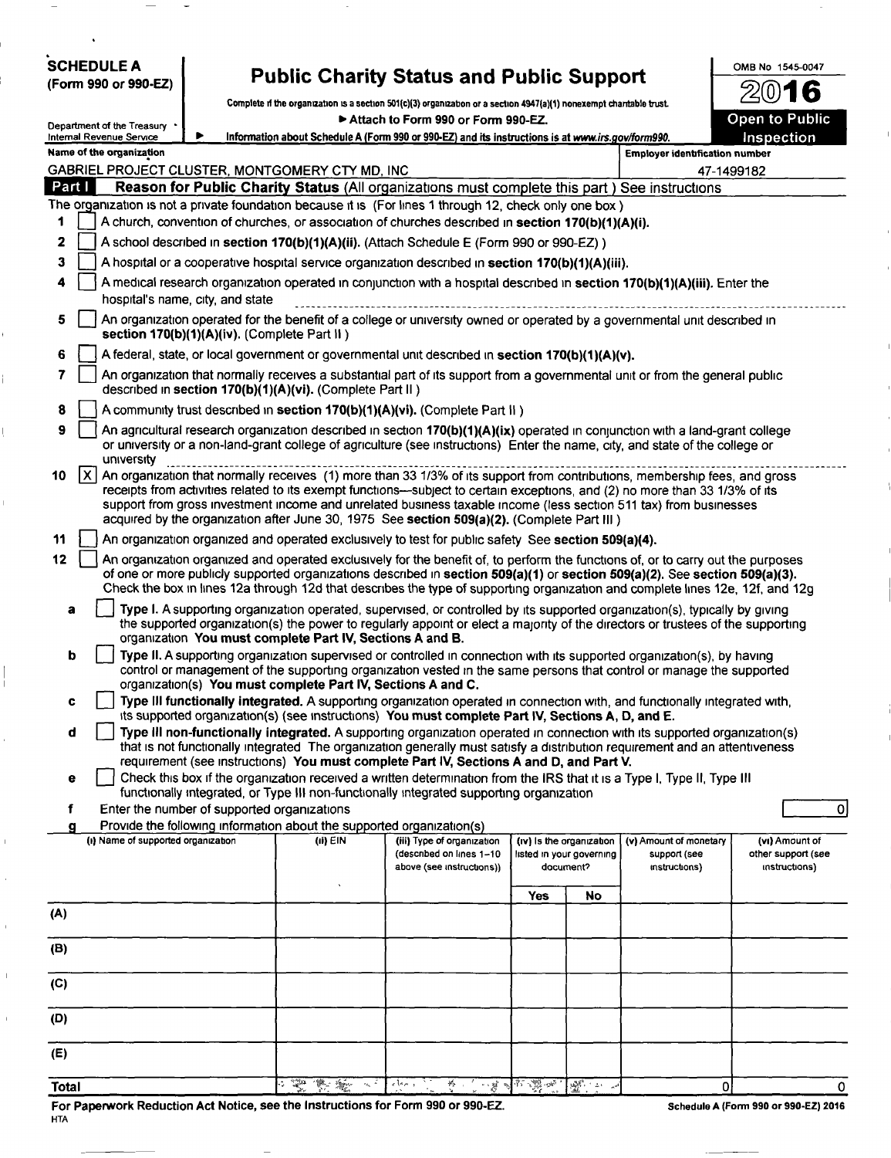| <b>SCHEDULE A</b> |                      |
|-------------------|----------------------|
|                   | (Form 990 or 990-EZ) |

## Public Charity Status and Public Support

Complete if the organization is a section 501(c)(3) organization or a section 4947(a)(1) nonexempt charitable trust <br>Attach to Form 990 or Form 990-EZ. ► Attach to Form 990 or Form 990-EZ.

|     | Department of the Treasury<br>Information about Schedule A (Form 990 or 990-EZ) and its instructions is at www.irs.gov/form990.<br>Inspection<br>Internal Revenue Service |  |  |                                                                       |                                                                                                                                                                                                                                                                                                                                                                                                                                                                               |     |                                                                   |                                                         |                                                       |  |
|-----|---------------------------------------------------------------------------------------------------------------------------------------------------------------------------|--|--|-----------------------------------------------------------------------|-------------------------------------------------------------------------------------------------------------------------------------------------------------------------------------------------------------------------------------------------------------------------------------------------------------------------------------------------------------------------------------------------------------------------------------------------------------------------------|-----|-------------------------------------------------------------------|---------------------------------------------------------|-------------------------------------------------------|--|
|     | Name of the organization<br><b>Employer identification number</b>                                                                                                         |  |  |                                                                       |                                                                                                                                                                                                                                                                                                                                                                                                                                                                               |     |                                                                   |                                                         |                                                       |  |
|     | GABRIEL PROJECT CLUSTER, MONTGOMERY CTY MD, INC<br>47-1499182                                                                                                             |  |  |                                                                       |                                                                                                                                                                                                                                                                                                                                                                                                                                                                               |     |                                                                   |                                                         |                                                       |  |
|     | Part I<br>Reason for Public Charity Status (All organizations must complete this part) See instructions                                                                   |  |  |                                                                       |                                                                                                                                                                                                                                                                                                                                                                                                                                                                               |     |                                                                   |                                                         |                                                       |  |
|     | The organization is not a private foundation because it is (For lines 1 through 12, check only one box)                                                                   |  |  |                                                                       |                                                                                                                                                                                                                                                                                                                                                                                                                                                                               |     |                                                                   |                                                         |                                                       |  |
|     | A church, convention of churches, or association of churches described in section 170(b)(1)(A)(i).<br>1                                                                   |  |  |                                                                       |                                                                                                                                                                                                                                                                                                                                                                                                                                                                               |     |                                                                   |                                                         |                                                       |  |
| 2   |                                                                                                                                                                           |  |  |                                                                       | A school described in section 170(b)(1)(A)(ii). (Attach Schedule E (Form 990 or 990-EZ))                                                                                                                                                                                                                                                                                                                                                                                      |     |                                                                   |                                                         |                                                       |  |
|     | 3<br>A hospital or a cooperative hospital service organization described in section 170(b)(1)(A)(iii).                                                                    |  |  |                                                                       |                                                                                                                                                                                                                                                                                                                                                                                                                                                                               |     |                                                                   |                                                         |                                                       |  |
| 4   | A medical research organization operated in conjunction with a hospital described in section 170(b)(1)(A)(iii). Enter the<br>hospital's name, city, and state             |  |  |                                                                       |                                                                                                                                                                                                                                                                                                                                                                                                                                                                               |     |                                                                   |                                                         |                                                       |  |
| 5   | An organization operated for the benefit of a college or university owned or operated by a governmental unit described in<br>section 170(b)(1)(A)(iv). (Complete Part II) |  |  |                                                                       |                                                                                                                                                                                                                                                                                                                                                                                                                                                                               |     |                                                                   |                                                         |                                                       |  |
| 6   |                                                                                                                                                                           |  |  |                                                                       | A federal, state, or local government or governmental unit described in section 170(b)(1)(A)(v).                                                                                                                                                                                                                                                                                                                                                                              |     |                                                                   |                                                         |                                                       |  |
| 7   |                                                                                                                                                                           |  |  | described in section 170(b)(1)(A)(vi). (Complete Part II)             | An organization that normally receives a substantial part of its support from a governmental unit or from the general public                                                                                                                                                                                                                                                                                                                                                  |     |                                                                   |                                                         |                                                       |  |
| 8   |                                                                                                                                                                           |  |  |                                                                       | A community trust described in section 170(b)(1)(A)(vi). (Complete Part II)                                                                                                                                                                                                                                                                                                                                                                                                   |     |                                                                   |                                                         |                                                       |  |
| 9   | university                                                                                                                                                                |  |  |                                                                       | An agricultural research organization described in section 170(b)(1)(A)(ix) operated in conjunction with a land-grant college<br>or university or a non-land-grant college of agriculture (see instructions) Enter the name, city, and state of the college or                                                                                                                                                                                                                |     |                                                                   |                                                         |                                                       |  |
| 10  | x                                                                                                                                                                         |  |  |                                                                       | An organization that normally receives (1) more than 33 1/3% of its support from contributions, membership fees, and gross<br>receipts from activities related to its exempt functions—subject to certain exceptions, and (2) no more than 33 1/3% of its<br>support from gross investment income and unrelated business taxable income (less section 511 tax) from businesses<br>acquired by the organization after June 30, 1975 See section 509(a)(2). (Complete Part III) |     |                                                                   |                                                         |                                                       |  |
| 11  |                                                                                                                                                                           |  |  |                                                                       | An organization organized and operated exclusively to test for public safety See section 509(a)(4).                                                                                                                                                                                                                                                                                                                                                                           |     |                                                                   |                                                         |                                                       |  |
| 12  |                                                                                                                                                                           |  |  |                                                                       | An organization organized and operated exclusively for the benefit of, to perform the functions of, or to carry out the purposes<br>of one or more publicly supported organizations described in section 509(a)(1) or section 509(a)(2). See section 509(a)(3).<br>Check the box in lines 12a through 12d that describes the type of supporting organization and complete lines 12e, 12f, and 12g                                                                             |     |                                                                   |                                                         |                                                       |  |
| a   |                                                                                                                                                                           |  |  | organization You must complete Part IV, Sections A and B.             | Type I. A supporting organization operated, supervised, or controlled by its supported organization(s), typically by giving<br>the supported organization(s) the power to regularly appoint or elect a majority of the directors or trustees of the supporting                                                                                                                                                                                                                |     |                                                                   |                                                         |                                                       |  |
| b   |                                                                                                                                                                           |  |  | organization(s) You must complete Part IV, Sections A and C.          | Type II. A supporting organization supervised or controlled in connection with its supported organization(s), by having<br>control or management of the supporting organization vested in the same persons that control or manage the supported                                                                                                                                                                                                                               |     |                                                                   |                                                         |                                                       |  |
| c   |                                                                                                                                                                           |  |  |                                                                       | Type III functionally integrated. A supporting organization operated in connection with, and functionally integrated with,<br>its supported organization(s) (see instructions) You must complete Part IV, Sections A, D, and E.                                                                                                                                                                                                                                               |     |                                                                   |                                                         |                                                       |  |
| d   |                                                                                                                                                                           |  |  |                                                                       | Type III non-functionally integrated. A supporting organization operated in connection with its supported organization(s)<br>that is not functionally integrated The organization generally must satisfy a distribution requirement and an attentiveness<br>requirement (see instructions) You must complete Part IV, Sections A and D, and Part V.                                                                                                                           |     |                                                                   |                                                         |                                                       |  |
| е   |                                                                                                                                                                           |  |  |                                                                       | Check this box if the organization received a written determination from the IRS that it is a Type I, Type II, Type III                                                                                                                                                                                                                                                                                                                                                       |     |                                                                   |                                                         |                                                       |  |
| f   | Enter the number of supported organizations                                                                                                                               |  |  |                                                                       | functionally integrated, or Type III non-functionally integrated supporting organization                                                                                                                                                                                                                                                                                                                                                                                      |     |                                                                   |                                                         | $\Omega$                                              |  |
| g   |                                                                                                                                                                           |  |  | Provide the following information about the supported organization(s) |                                                                                                                                                                                                                                                                                                                                                                                                                                                                               |     |                                                                   |                                                         |                                                       |  |
|     | (i) Name of supported organization                                                                                                                                        |  |  | (ii) EIN                                                              | (iii) Type of organization<br>(described on lines 1-10<br>above (see instructions))                                                                                                                                                                                                                                                                                                                                                                                           |     | (iv) is the organization<br>listed in your governing<br>document? | (v) Amount of monetary<br>support (see<br>instructions) | (vi) Amount of<br>other support (see<br>instructions) |  |
|     |                                                                                                                                                                           |  |  |                                                                       |                                                                                                                                                                                                                                                                                                                                                                                                                                                                               | Yes | No                                                                |                                                         |                                                       |  |
| (A) |                                                                                                                                                                           |  |  |                                                                       |                                                                                                                                                                                                                                                                                                                                                                                                                                                                               |     |                                                                   |                                                         |                                                       |  |
| (B) |                                                                                                                                                                           |  |  |                                                                       |                                                                                                                                                                                                                                                                                                                                                                                                                                                                               |     |                                                                   |                                                         |                                                       |  |
| (C) |                                                                                                                                                                           |  |  |                                                                       |                                                                                                                                                                                                                                                                                                                                                                                                                                                                               |     |                                                                   |                                                         |                                                       |  |
| (D) |                                                                                                                                                                           |  |  |                                                                       |                                                                                                                                                                                                                                                                                                                                                                                                                                                                               |     |                                                                   |                                                         |                                                       |  |
| (E) |                                                                                                                                                                           |  |  |                                                                       |                                                                                                                                                                                                                                                                                                                                                                                                                                                                               |     |                                                                   |                                                         |                                                       |  |

Total O.V, 0 0

For Paperwork Reduction Act Notice, see the Instructions for Form 990 or 990-EZ. Schedule A (Form 990 or 990-EZ) 2016 HTA

OMB No 1545-0047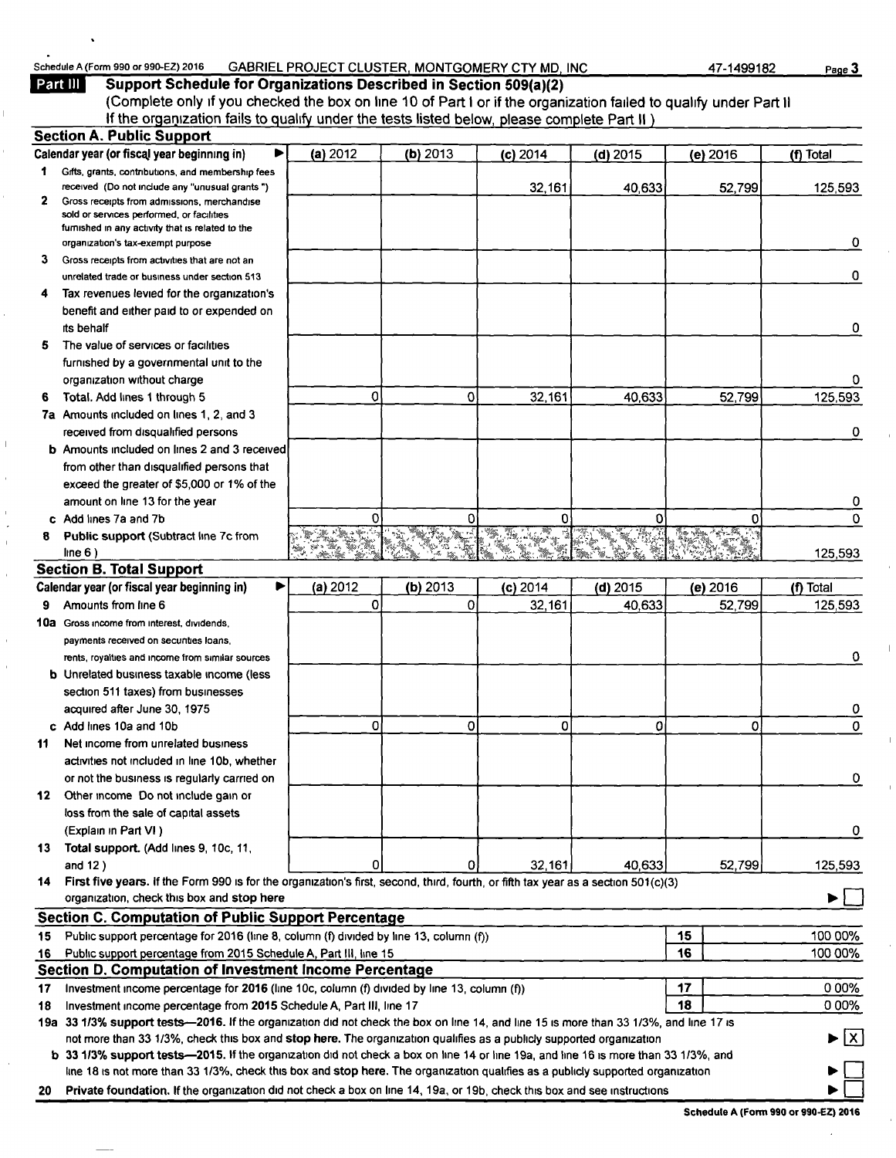## n 990 or 990-EZ) 2016 GABRIEL PROJECT CLUSTER, MONTGOMERY CTY MD, INC 47-1499182 Page 3 Example A (Form 990 or 990-EZ) 2016<br> **Part III Support Sched**

 $\overline{1}$ 

 $\mathbf{r}$  $\ddot{\phantom{0}}$  $\mathbf{r}$ 

| <b>Part III</b> | Support Schedule for Organizations Described in Section 509(a)(2)                                                 |
|-----------------|-------------------------------------------------------------------------------------------------------------------|
|                 | (Complete only if you checked the box on line 10 of Part I or if the organization failed to qualify under Part II |
|                 | If the organization fails to qualify under the tests listed below, please complete Part II)                       |
|                 | <b>Section A. Public Support</b>                                                                                  |

|     | ▶<br>Calendar year (or fiscal year beginning in)                                                                                                                                                                                                            | (a) 2012 | $(b)$ 2013 | $(c)$ 2014 | $(d)$ 2015 |    | (e) 2016 | (f) Total |
|-----|-------------------------------------------------------------------------------------------------------------------------------------------------------------------------------------------------------------------------------------------------------------|----------|------------|------------|------------|----|----------|-----------|
| 1.  | Gifts, grants, contributions, and membership fees                                                                                                                                                                                                           |          |            |            |            |    |          |           |
|     | received (Do not include any "unusual grants")                                                                                                                                                                                                              |          |            | 32,161     | 40,633     |    | 52,799   | 125,593   |
| 2   | Gross receipts from admissions, merchandise<br>sold or services performed, or facilities                                                                                                                                                                    |          |            |            |            |    |          |           |
|     | furnished in any activity that is related to the                                                                                                                                                                                                            |          |            |            |            |    |          |           |
|     | organization's tax-exempt purpose                                                                                                                                                                                                                           |          |            |            |            |    |          | 0         |
| 3   | Gross receipts from activities that are not an                                                                                                                                                                                                              |          |            |            |            |    |          |           |
|     | unrelated trade or business under section 513                                                                                                                                                                                                               |          |            |            |            |    |          | 0         |
|     | Tax revenues levied for the organization's                                                                                                                                                                                                                  |          |            |            |            |    |          |           |
|     | benefit and either paid to or expended on                                                                                                                                                                                                                   |          |            |            |            |    |          |           |
|     | its behalf                                                                                                                                                                                                                                                  |          |            |            |            |    |          | 0         |
| 5   | The value of services or facilities                                                                                                                                                                                                                         |          |            |            |            |    |          |           |
|     | furnished by a governmental unit to the                                                                                                                                                                                                                     |          |            |            |            |    |          |           |
|     | organization without charge                                                                                                                                                                                                                                 |          |            |            |            |    |          |           |
|     | Total. Add lines 1 through 5                                                                                                                                                                                                                                | 0        | 0          | 32,161     | 40,633     |    | 52,799   | 125,593   |
|     | 7a Amounts included on lines 1, 2, and 3                                                                                                                                                                                                                    |          |            |            |            |    |          |           |
|     | received from disqualified persons                                                                                                                                                                                                                          |          |            |            |            |    |          | 0         |
|     | <b>b</b> Amounts included on lines 2 and 3 received                                                                                                                                                                                                         |          |            |            |            |    |          |           |
|     | from other than disqualified persons that                                                                                                                                                                                                                   |          |            |            |            |    |          |           |
|     | exceed the greater of \$5,000 or 1% of the                                                                                                                                                                                                                  |          |            |            |            |    |          |           |
|     | amount on line 13 for the year                                                                                                                                                                                                                              |          |            |            |            |    |          | 0         |
|     | c Add lines 7a and 7b                                                                                                                                                                                                                                       | Ω        | Ω          |            | O          |    | o        | 0         |
|     | Public support (Subtract line 7c from                                                                                                                                                                                                                       |          |            |            |            |    |          |           |
|     | line 6)                                                                                                                                                                                                                                                     |          |            |            |            |    |          | 125,593   |
|     | <b>Section B. Total Support</b>                                                                                                                                                                                                                             |          |            |            |            |    |          |           |
|     | Calendar year (or fiscal year beginning in)                                                                                                                                                                                                                 | (a) 2012 | $(b)$ 2013 | $(c)$ 2014 | $(d)$ 2015 |    | (e) 2016 | (f) Total |
| 9   | Amounts from line 6                                                                                                                                                                                                                                         | 0        | 0          | 32,161     | 40,633     |    | 52,799   | 125,593   |
|     | 10a Gross income from interest, dividends,                                                                                                                                                                                                                  |          |            |            |            |    |          |           |
|     | payments received on securities loans,                                                                                                                                                                                                                      |          |            |            |            |    |          |           |
|     | rents, royalties and income from similar sources                                                                                                                                                                                                            |          |            |            |            |    |          | 0         |
|     | <b>b</b> Unrelated business taxable income (less                                                                                                                                                                                                            |          |            |            |            |    |          |           |
|     | section 511 taxes) from businesses                                                                                                                                                                                                                          |          |            |            |            |    |          |           |
|     | acquired after June 30, 1975                                                                                                                                                                                                                                |          |            |            |            |    |          | 0         |
|     | c Add lines 10a and 10b                                                                                                                                                                                                                                     | 0        | 0          | 0          | 0          |    | 0        | 0         |
| 11  | Net income from unrelated business                                                                                                                                                                                                                          |          |            |            |            |    |          |           |
|     | activities not included in line 10b, whether                                                                                                                                                                                                                |          |            |            |            |    |          |           |
|     | or not the business is regularly carried on                                                                                                                                                                                                                 |          |            |            |            |    |          | 0         |
|     | 12 Other income Do not include gain or                                                                                                                                                                                                                      |          |            |            |            |    |          |           |
|     | loss from the sale of capital assets                                                                                                                                                                                                                        |          |            |            |            |    |          |           |
|     | (Explain in Part VI)                                                                                                                                                                                                                                        |          |            |            |            |    |          | 0         |
|     | 13 Total support. (Add lines 9, 10c, 11,                                                                                                                                                                                                                    |          |            |            |            |    |          |           |
|     | and $12$ )                                                                                                                                                                                                                                                  | 0        | 0          | 32,161     | 40,633     |    | 52,799   | 125,593   |
| 14. | First five years. If the Form 990 is for the organization's first, second, third, fourth, or fifth tax year as a section 501(c)(3)                                                                                                                          |          |            |            |            |    |          |           |
|     | organization, check this box and stop here                                                                                                                                                                                                                  |          |            |            |            |    |          |           |
|     | <b>Section C. Computation of Public Support Percentage</b>                                                                                                                                                                                                  |          |            |            |            |    |          |           |
| 15  | Public support percentage for 2016 (line 8, column (f) divided by line 13, column (f))                                                                                                                                                                      |          |            |            |            | 15 |          | 100 00%   |
| 16  | Public support percentage from 2015 Schedule A, Part III, line 15                                                                                                                                                                                           |          |            |            |            | 16 |          | 100 00%   |
|     | Section D. Computation of Investment Income Percentage                                                                                                                                                                                                      |          |            |            |            |    |          |           |
| 17  | Investment income percentage for 2016 (line 10c, column (f) divided by line 13, column (f))                                                                                                                                                                 |          |            |            |            | 17 |          | 0 00%     |
| 18  | Investment income percentage from 2015 Schedule A, Part III, line 17                                                                                                                                                                                        |          |            |            |            | 18 |          | 0 00%     |
|     | 19a 33 1/3% support tests—2016. If the organization did not check the box on line 14, and line 15 is more than 33 1/3%, and line 17 is                                                                                                                      |          |            |            |            |    |          | ► ⊠       |
|     | not more than 33 1/3%, check this box and stop here. The organization qualifies as a publicly supported organization<br>b 33 1/3% support tests—2015. If the organization did not check a box on line 14 or line 19a, and line 16 is more than 33 1/3%, and |          |            |            |            |    |          |           |
|     | line 18 is not more than 33 1/3%, check this box and stop here. The organization qualifies as a publicly supported organization                                                                                                                             |          |            |            |            |    |          |           |
| 20  | Private foundation. If the organization did not check a box on line 14, 19a, or 19b, check this box and see instructions                                                                                                                                    |          |            |            |            |    |          |           |
|     |                                                                                                                                                                                                                                                             |          |            |            |            |    |          |           |